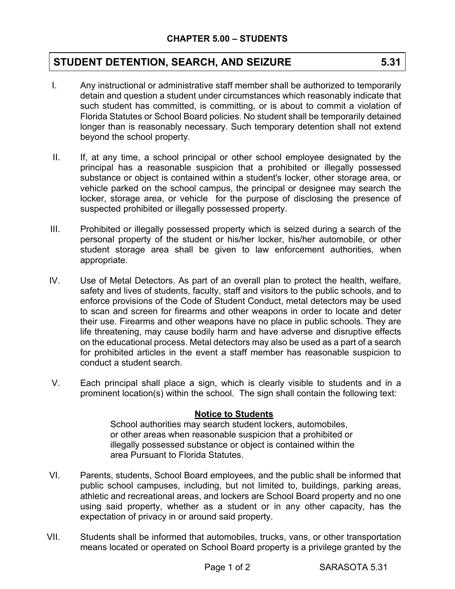## **STUDENT DETENTION, SEARCH, AND SEIZURE 5.31**

- I. Any instructional or administrative staff member shall be authorized to temporarily detain and question a student under circumstances which reasonably indicate that such student has committed, is committing, or is about to commit a violation of Florida Statutes or School Board policies. No student shall be temporarily detained longer than is reasonably necessary. Such temporary detention shall not extend beyond the school property.
- II. If, at any time, a school principal or other school employee designated by the principal has a reasonable suspicion that a prohibited or illegally possessed substance or object is contained within a student's locker, other storage area, or vehicle parked on the school campus, the principal or designee may search the locker, storage area, or vehicle for the purpose of disclosing the presence of suspected prohibited or illegally possessed property.
- III. Prohibited or illegally possessed property which is seized during a search of the personal property of the student or his/her locker, his/her automobile, or other student storage area shall be given to law enforcement authorities, when appropriate.
- IV. Use of Metal Detectors. As part of an overall plan to protect the health, welfare, safety and lives of students, faculty, staff and visitors to the public schools, and to enforce provisions of the Code of Student Conduct, metal detectors may be used to scan and screen for firearms and other weapons in order to locate and deter their use. Firearms and other weapons have no place in public schools. They are life threatening, may cause bodily harm and have adverse and disruptive effects on the educational process. Metal detectors may also be used as a part of a search for prohibited articles in the event a staff member has reasonable suspicion to conduct a student search.
- V. Each principal shall place a sign, which is clearly visible to students and in a prominent location(s) within the school. The sign shall contain the following text:

## **Notice to Students**

School authorities may search student lockers, automobiles, or other areas when reasonable suspicion that a prohibited or illegally possessed substance or object is contained within the area Pursuant to Florida Statutes.

- VI. Parents, students, School Board employees, and the public shall be informed that public school campuses, including, but not limited to, buildings, parking areas, athletic and recreational areas, and lockers are School Board property and no one using said property, whether as a student or in any other capacity, has the expectation of privacy in or around said property.
- VII. Students shall be informed that automobiles, trucks, vans, or other transportation means located or operated on School Board property is a privilege granted by the